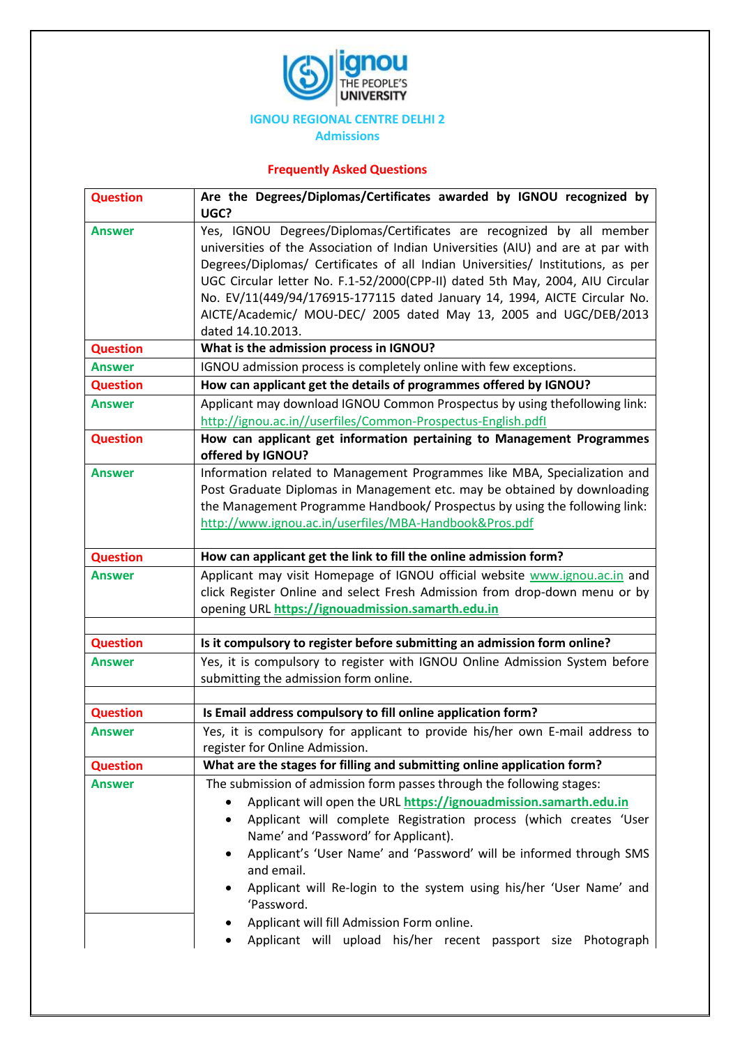

## **IGNOU REGIONAL CENTRE DELHI 2**

**Admissions**

## **Frequently Asked Questions**

| <b>Question</b> | Are the Degrees/Diplomas/Certificates awarded by IGNOU recognized by<br>UGC?                                                                              |
|-----------------|-----------------------------------------------------------------------------------------------------------------------------------------------------------|
| <b>Answer</b>   | Yes, IGNOU Degrees/Diplomas/Certificates are recognized by all member<br>universities of the Association of Indian Universities (AIU) and are at par with |
|                 | Degrees/Diplomas/ Certificates of all Indian Universities/ Institutions, as per                                                                           |
|                 | UGC Circular letter No. F.1-52/2000(CPP-II) dated 5th May, 2004, AIU Circular                                                                             |
|                 | No. EV/11(449/94/176915-177115 dated January 14, 1994, AICTE Circular No.                                                                                 |
|                 | AICTE/Academic/ MOU-DEC/ 2005 dated May 13, 2005 and UGC/DEB/2013<br>dated 14.10.2013.                                                                    |
| <b>Question</b> | What is the admission process in IGNOU?                                                                                                                   |
| <b>Answer</b>   | IGNOU admission process is completely online with few exceptions.                                                                                         |
| <b>Question</b> | How can applicant get the details of programmes offered by IGNOU?                                                                                         |
| <b>Answer</b>   | Applicant may download IGNOU Common Prospectus by using thefollowing link:                                                                                |
|                 | http://ignou.ac.in//userfiles/Common-Prospectus-English.pdfl                                                                                              |
| <b>Question</b> | How can applicant get information pertaining to Management Programmes                                                                                     |
|                 | offered by IGNOU?                                                                                                                                         |
| <b>Answer</b>   | Information related to Management Programmes like MBA, Specialization and                                                                                 |
|                 | Post Graduate Diplomas in Management etc. may be obtained by downloading                                                                                  |
|                 | the Management Programme Handbook/ Prospectus by using the following link:                                                                                |
|                 | http://www.ignou.ac.in/userfiles/MBA-Handbook&Pros.pdf                                                                                                    |
| <b>Question</b> | How can applicant get the link to fill the online admission form?                                                                                         |
| <b>Answer</b>   | Applicant may visit Homepage of IGNOU official website www.ignou.ac.in and                                                                                |
|                 | click Register Online and select Fresh Admission from drop-down menu or by                                                                                |
|                 | opening URL https://ignouadmission.samarth.edu.in                                                                                                         |
| <b>Question</b> | Is it compulsory to register before submitting an admission form online?                                                                                  |
| <b>Answer</b>   | Yes, it is compulsory to register with IGNOU Online Admission System before                                                                               |
|                 | submitting the admission form online.                                                                                                                     |
| <b>Question</b> | Is Email address compulsory to fill online application form?                                                                                              |
| <b>Answer</b>   | Yes, it is compulsory for applicant to provide his/her own E-mail address to                                                                              |
|                 | register for Online Admission.                                                                                                                            |
| <b>Question</b> | What are the stages for filling and submitting online application form?                                                                                   |
| <b>Answer</b>   | The submission of admission form passes through the following stages:                                                                                     |
|                 | Applicant will open the URL https://ignouadmission.samarth.edu.in                                                                                         |
|                 | Applicant will complete Registration process (which creates 'User<br>٠                                                                                    |
|                 | Name' and 'Password' for Applicant).                                                                                                                      |
|                 | Applicant's 'User Name' and 'Password' will be informed through SMS<br>$\bullet$<br>and email.                                                            |
|                 | Applicant will Re-login to the system using his/her 'User Name' and                                                                                       |
|                 | 'Password.                                                                                                                                                |
|                 | Applicant will fill Admission Form online.                                                                                                                |
|                 | Applicant will upload his/her recent passport size Photograph                                                                                             |
|                 |                                                                                                                                                           |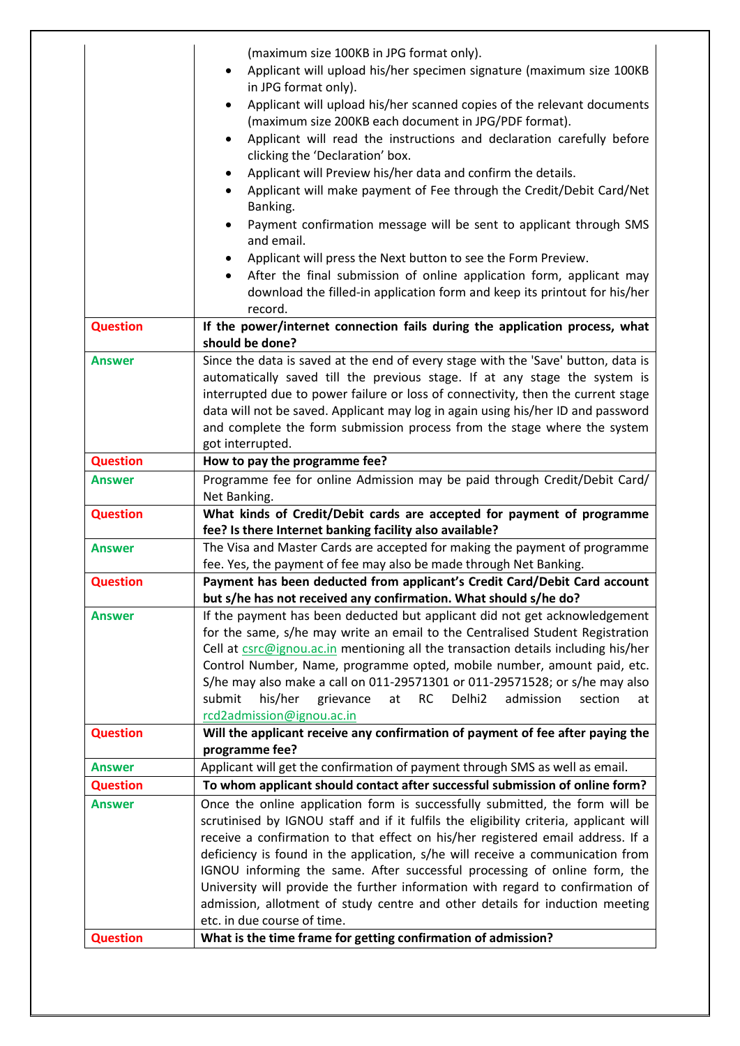|                 | (maximum size 100KB in JPG format only).<br>Applicant will upload his/her specimen signature (maximum size 100KB                                                                                                                                                                                                                                                                                                    |
|-----------------|---------------------------------------------------------------------------------------------------------------------------------------------------------------------------------------------------------------------------------------------------------------------------------------------------------------------------------------------------------------------------------------------------------------------|
|                 | in JPG format only).                                                                                                                                                                                                                                                                                                                                                                                                |
|                 | Applicant will upload his/her scanned copies of the relevant documents<br>(maximum size 200KB each document in JPG/PDF format).<br>Applicant will read the instructions and declaration carefully before<br>clicking the 'Declaration' box.                                                                                                                                                                         |
|                 | Applicant will Preview his/her data and confirm the details.<br>Applicant will make payment of Fee through the Credit/Debit Card/Net<br>Banking.                                                                                                                                                                                                                                                                    |
|                 | Payment confirmation message will be sent to applicant through SMS<br>and email.                                                                                                                                                                                                                                                                                                                                    |
|                 | Applicant will press the Next button to see the Form Preview.<br>After the final submission of online application form, applicant may<br>$\bullet$<br>download the filled-in application form and keep its printout for his/her<br>record.                                                                                                                                                                          |
| <b>Question</b> | If the power/internet connection fails during the application process, what                                                                                                                                                                                                                                                                                                                                         |
|                 | should be done?                                                                                                                                                                                                                                                                                                                                                                                                     |
| <b>Answer</b>   | Since the data is saved at the end of every stage with the 'Save' button, data is<br>automatically saved till the previous stage. If at any stage the system is<br>interrupted due to power failure or loss of connectivity, then the current stage<br>data will not be saved. Applicant may log in again using his/her ID and password<br>and complete the form submission process from the stage where the system |
|                 | got interrupted.                                                                                                                                                                                                                                                                                                                                                                                                    |
| <b>Question</b> | How to pay the programme fee?                                                                                                                                                                                                                                                                                                                                                                                       |
| <b>Answer</b>   | Programme fee for online Admission may be paid through Credit/Debit Card/<br>Net Banking.                                                                                                                                                                                                                                                                                                                           |
| <b>Question</b> | What kinds of Credit/Debit cards are accepted for payment of programme                                                                                                                                                                                                                                                                                                                                              |
|                 | fee? Is there Internet banking facility also available?                                                                                                                                                                                                                                                                                                                                                             |
| Answer          | The Visa and Master Cards are accepted for making the payment of programme                                                                                                                                                                                                                                                                                                                                          |
|                 | fee. Yes, the payment of fee may also be made through Net Banking.<br>Payment has been deducted from applicant's Credit Card/Debit Card account                                                                                                                                                                                                                                                                     |
| <b>Question</b> | but s/he has not received any confirmation. What should s/he do?                                                                                                                                                                                                                                                                                                                                                    |
| <b>Answer</b>   | If the payment has been deducted but applicant did not get acknowledgement                                                                                                                                                                                                                                                                                                                                          |
|                 | for the same, s/he may write an email to the Centralised Student Registration                                                                                                                                                                                                                                                                                                                                       |
|                 | Cell at csrc@ignou.ac.in mentioning all the transaction details including his/her                                                                                                                                                                                                                                                                                                                                   |
|                 | Control Number, Name, programme opted, mobile number, amount paid, etc.                                                                                                                                                                                                                                                                                                                                             |
|                 | S/he may also make a call on 011-29571301 or 011-29571528; or s/he may also                                                                                                                                                                                                                                                                                                                                         |
|                 | submit<br>his/her<br>grievance<br><b>RC</b><br>Delhi <sub>2</sub><br>admission<br>section<br>at<br>at                                                                                                                                                                                                                                                                                                               |
|                 | rcd2admission@ignou.ac.in                                                                                                                                                                                                                                                                                                                                                                                           |
| <b>Question</b> | Will the applicant receive any confirmation of payment of fee after paying the<br>programme fee?                                                                                                                                                                                                                                                                                                                    |
| <b>Answer</b>   | Applicant will get the confirmation of payment through SMS as well as email.                                                                                                                                                                                                                                                                                                                                        |
| <b>Question</b> | To whom applicant should contact after successful submission of online form?                                                                                                                                                                                                                                                                                                                                        |
| <b>Answer</b>   | Once the online application form is successfully submitted, the form will be                                                                                                                                                                                                                                                                                                                                        |
|                 | scrutinised by IGNOU staff and if it fulfils the eligibility criteria, applicant will<br>receive a confirmation to that effect on his/her registered email address. If a                                                                                                                                                                                                                                            |
|                 | deficiency is found in the application, s/he will receive a communication from                                                                                                                                                                                                                                                                                                                                      |
|                 | IGNOU informing the same. After successful processing of online form, the                                                                                                                                                                                                                                                                                                                                           |
|                 | University will provide the further information with regard to confirmation of                                                                                                                                                                                                                                                                                                                                      |
|                 | admission, allotment of study centre and other details for induction meeting<br>etc. in due course of time.                                                                                                                                                                                                                                                                                                         |
| <b>Question</b> | What is the time frame for getting confirmation of admission?                                                                                                                                                                                                                                                                                                                                                       |
|                 |                                                                                                                                                                                                                                                                                                                                                                                                                     |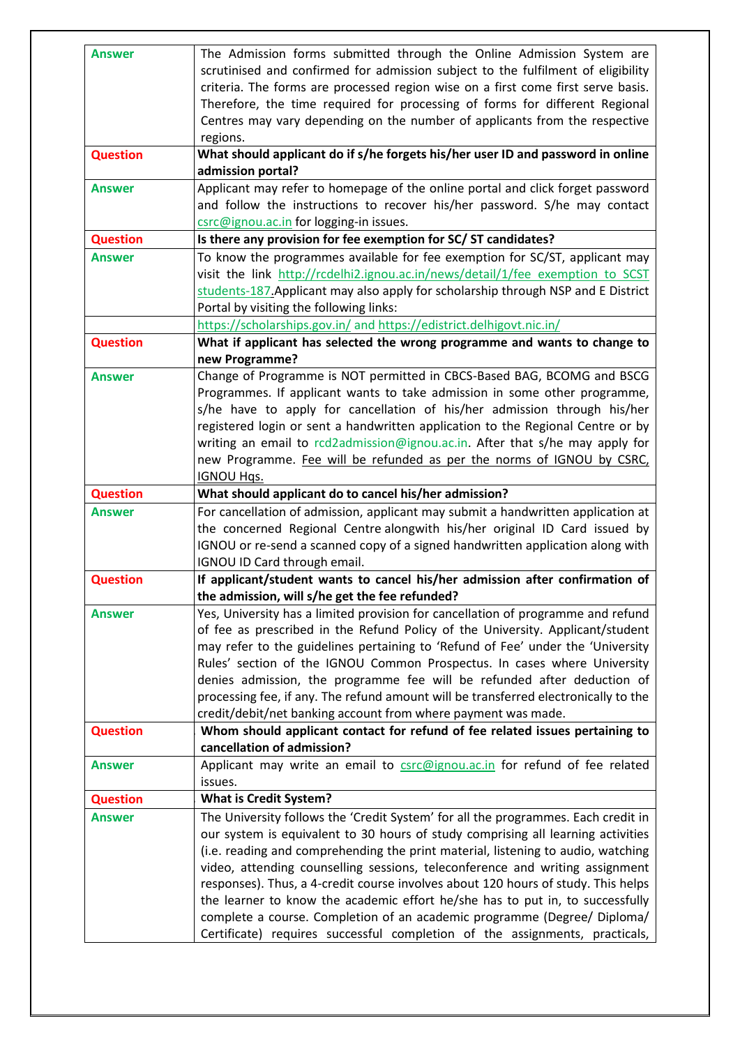| <b>Answer</b>   | The Admission forms submitted through the Online Admission System are<br>scrutinised and confirmed for admission subject to the fulfilment of eligibility<br>criteria. The forms are processed region wise on a first come first serve basis.<br>Therefore, the time required for processing of forms for different Regional<br>Centres may vary depending on the number of applicants from the respective<br>regions.                                                                                                                                                                                                                                                     |
|-----------------|----------------------------------------------------------------------------------------------------------------------------------------------------------------------------------------------------------------------------------------------------------------------------------------------------------------------------------------------------------------------------------------------------------------------------------------------------------------------------------------------------------------------------------------------------------------------------------------------------------------------------------------------------------------------------|
| <b>Question</b> | What should applicant do if s/he forgets his/her user ID and password in online<br>admission portal?                                                                                                                                                                                                                                                                                                                                                                                                                                                                                                                                                                       |
| <b>Answer</b>   | Applicant may refer to homepage of the online portal and click forget password<br>and follow the instructions to recover his/her password. S/he may contact<br>csrc@ignou.ac.in for logging-in issues.                                                                                                                                                                                                                                                                                                                                                                                                                                                                     |
| <b>Question</b> | Is there any provision for fee exemption for SC/ST candidates?                                                                                                                                                                                                                                                                                                                                                                                                                                                                                                                                                                                                             |
| Answer          | To know the programmes available for fee exemption for SC/ST, applicant may<br>visit the link http://rcdelhi2.ignou.ac.in/news/detail/1/fee exemption to SCST<br>students-187. Applicant may also apply for scholarship through NSP and E District<br>Portal by visiting the following links:<br>https://scholarships.gov.in/ and https://edistrict.delhigovt.nic.in/                                                                                                                                                                                                                                                                                                      |
| <b>Question</b> | What if applicant has selected the wrong programme and wants to change to                                                                                                                                                                                                                                                                                                                                                                                                                                                                                                                                                                                                  |
|                 | new Programme?                                                                                                                                                                                                                                                                                                                                                                                                                                                                                                                                                                                                                                                             |
| <b>Answer</b>   | Change of Programme is NOT permitted in CBCS-Based BAG, BCOMG and BSCG<br>Programmes. If applicant wants to take admission in some other programme,<br>s/he have to apply for cancellation of his/her admission through his/her<br>registered login or sent a handwritten application to the Regional Centre or by<br>writing an email to rcd2admission@ignou.ac.in. After that s/he may apply for<br>new Programme. Fee will be refunded as per the norms of IGNOU by CSRC,<br><b>IGNOU Hgs.</b>                                                                                                                                                                          |
| <b>Question</b> | What should applicant do to cancel his/her admission?                                                                                                                                                                                                                                                                                                                                                                                                                                                                                                                                                                                                                      |
| Answer          | For cancellation of admission, applicant may submit a handwritten application at<br>the concerned Regional Centre alongwith his/her original ID Card issued by<br>IGNOU or re-send a scanned copy of a signed handwritten application along with<br>IGNOU ID Card through email.                                                                                                                                                                                                                                                                                                                                                                                           |
| <b>Question</b> | If applicant/student wants to cancel his/her admission after confirmation of<br>the admission, will s/he get the fee refunded?                                                                                                                                                                                                                                                                                                                                                                                                                                                                                                                                             |
| <b>Answer</b>   | Yes, University has a limited provision for cancellation of programme and refund<br>of fee as prescribed in the Refund Policy of the University. Applicant/student<br>may refer to the guidelines pertaining to 'Refund of Fee' under the 'University<br>Rules' section of the IGNOU Common Prospectus. In cases where University<br>denies admission, the programme fee will be refunded after deduction of<br>processing fee, if any. The refund amount will be transferred electronically to the<br>credit/debit/net banking account from where payment was made.                                                                                                       |
| <b>Question</b> | Whom should applicant contact for refund of fee related issues pertaining to<br>cancellation of admission?                                                                                                                                                                                                                                                                                                                                                                                                                                                                                                                                                                 |
| <b>Answer</b>   | Applicant may write an email to csrc@ignou.ac.in for refund of fee related<br>issues.                                                                                                                                                                                                                                                                                                                                                                                                                                                                                                                                                                                      |
| <b>Question</b> | <b>What is Credit System?</b>                                                                                                                                                                                                                                                                                                                                                                                                                                                                                                                                                                                                                                              |
| <b>Answer</b>   | The University follows the 'Credit System' for all the programmes. Each credit in<br>our system is equivalent to 30 hours of study comprising all learning activities<br>(i.e. reading and comprehending the print material, listening to audio, watching<br>video, attending counselling sessions, teleconference and writing assignment<br>responses). Thus, a 4-credit course involves about 120 hours of study. This helps<br>the learner to know the academic effort he/she has to put in, to successfully<br>complete a course. Completion of an academic programme (Degree/ Diploma/<br>Certificate) requires successful completion of the assignments, practicals, |